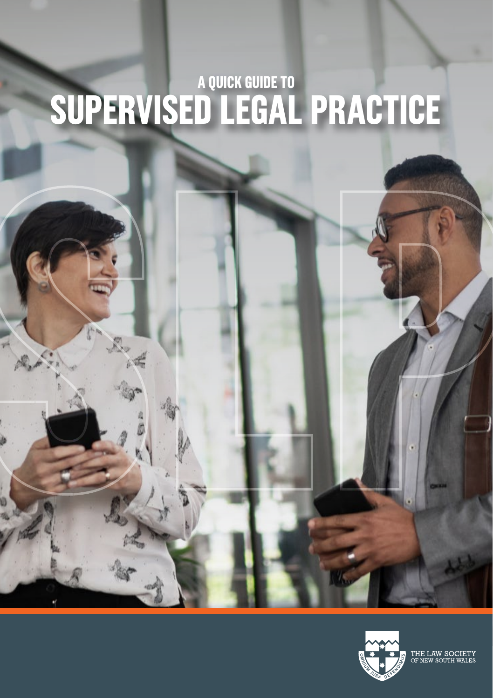# **SUPERVISED LEGAL PRACTICE A QUICK GUIDE TO**



THE LAW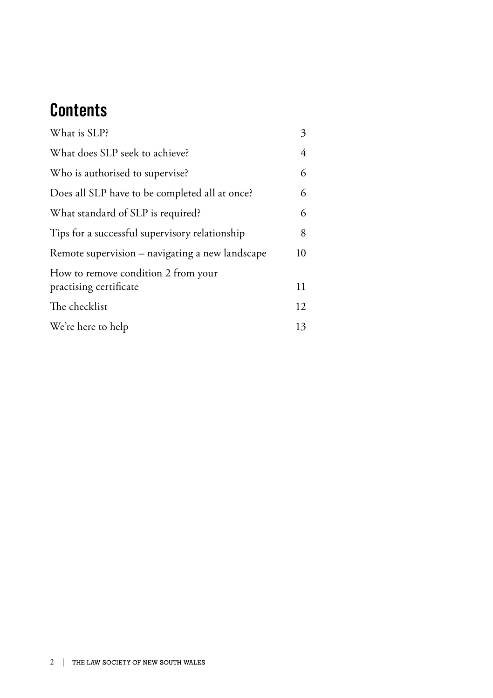## **Contents**

| What is SLP?                                                  | 3  |
|---------------------------------------------------------------|----|
| What does SLP seek to achieve?                                | 4  |
| Who is authorised to supervise?                               | 6  |
| Does all SLP have to be completed all at once?                | 6  |
| What standard of SLP is required?                             | 6  |
| Tips for a successful supervisory relationship                | 8  |
| Remote supervision – navigating a new landscape               | 10 |
| How to remove condition 2 from your<br>practising certificate | 11 |
| The checklist                                                 | 12 |
| We're here to help                                            | 13 |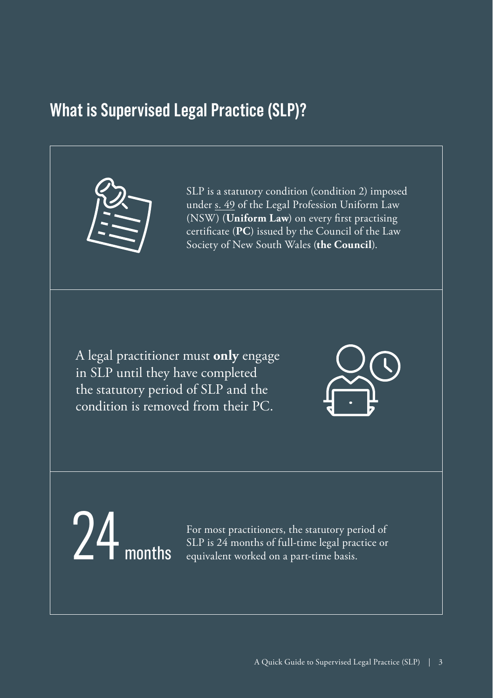## <span id="page-2-0"></span>**What is Supervised Legal Practice (SLP)?**



SLP is a statutory condition (condition 2) imposed under s. 49 of the Legal Profession Uniform Law (NSW) (**Uniform Law**) on every first practising certificate (**PC**) issued by the Council of the Law Society of New South Wales (**the Council**).

A legal practitioner must **only** engage in SLP until they have completed the statutory period of SLP and the condition is removed from their PC.



For most practitioners, the statutory period of SLP is  $24$  months of full-time legal practice or  $\text{months}$  equivalent worked on a part-time basis.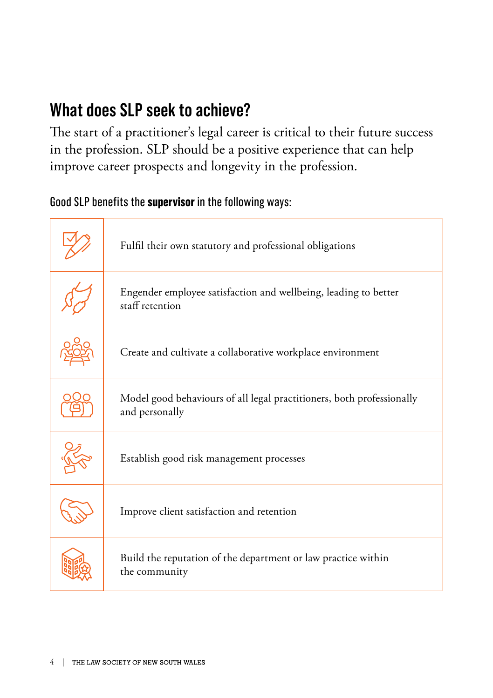## <span id="page-3-0"></span>**What does SLP seek to achieve?**

The start of a practitioner's legal career is critical to their future success in the profession. SLP should be a positive experience that can help improve career prospects and longevity in the profession.

### Good SLP benefits the **supervisor** in the following ways:

| Fulfil their own statutory and professional obligations                                 |
|-----------------------------------------------------------------------------------------|
| Engender employee satisfaction and wellbeing, leading to better<br>staff retention      |
| Create and cultivate a collaborative workplace environment                              |
| Model good behaviours of all legal practitioners, both professionally<br>and personally |
| Establish good risk management processes                                                |
| Improve client satisfaction and retention                                               |
| Build the reputation of the department or law practice within<br>the community          |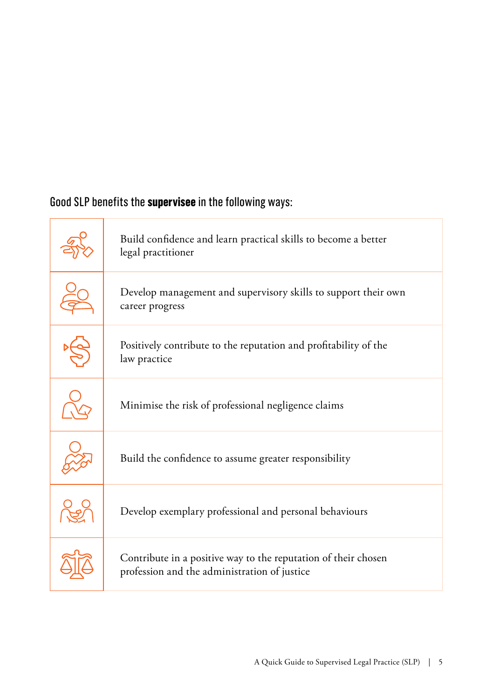### Good SLP benefits the **supervisee** in the following ways:

| Build confidence and learn practical skills to become a better<br>legal practitioner                           |
|----------------------------------------------------------------------------------------------------------------|
| Develop management and supervisory skills to support their own<br>career progress                              |
| Positively contribute to the reputation and profitability of the<br>law practice                               |
| Minimise the risk of professional negligence claims                                                            |
| Build the confidence to assume greater responsibility                                                          |
| Develop exemplary professional and personal behaviours                                                         |
| Contribute in a positive way to the reputation of their chosen<br>profession and the administration of justice |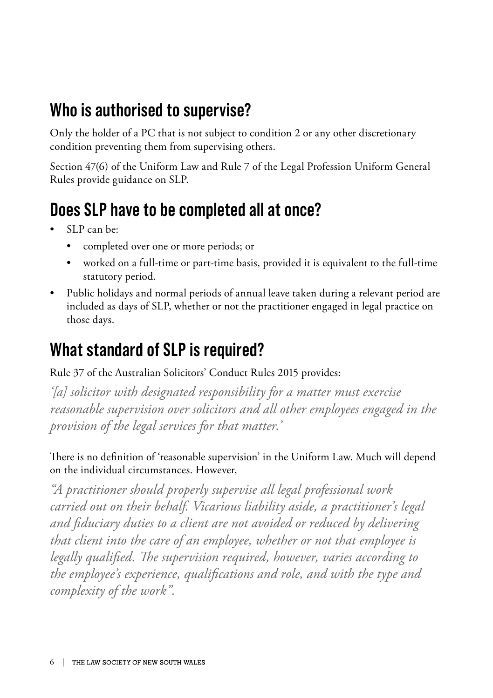## <span id="page-5-0"></span>**Who is authorised to supervise?**

Only the holder of a PC that is not subject to condition 2 or any other discretionary condition preventing them from supervising others.

Section 47(6) of the Uniform Law and Rule 7 of the Legal Profession Uniform General Rules provide guidance on SLP.

## **Does SLP have to be completed all at once?**

- SLP can be:
	- completed over one or more periods; or
	- worked on a full-time or part-time basis, provided it is equivalent to the full-time statutory period.
- Public holidays and normal periods of annual leave taken during a relevant period are included as days of SLP, whether or not the practitioner engaged in legal practice on those days.

## **What standard of SLP is required?**

Rule 37 of the Australian Solicitors' Conduct Rules 2015 provides:

*'[a] solicitor with designated responsibility for a matter must exercise reasonable supervision over solicitors and all other employees engaged in the provision of the legal services for that matter.'*

There is no definition of 'reasonable supervision' in the Uniform Law. Much will depend on the individual circumstances. However,

*"A practitioner should properly supervise all legal professional work carried out on their behalf. Vicarious liability aside, a practitioner's legal and fiduciary duties to a client are not avoided or reduced by delivering that client into the care of an employee, whether or not that employee is legally qualified. The supervision required, however, varies according to the employee's experience, qualifications and role, and with the type and complexity of the work".*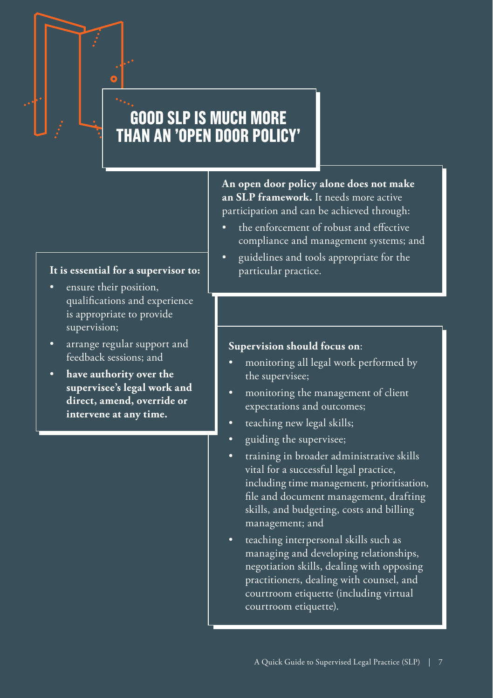## **GOOD SLP IS MUCH MORE THAN AN 'OPEN DOOR POLICY'**

### **It is essential for a supervisor to:**

- ensure their position, qualifications and experience is appropriate to provide supervision;
- arrange regular support and feedback sessions; and
- **have authority over the supervisee's legal work and direct, amend, override or intervene at any time.**

**An open door policy alone does not make an SLP framework.** It needs more active participation and can be achieved through:

- the enforcement of robust and effective compliance and management systems; and
- guidelines and tools appropriate for the particular practice.

### **Supervision should focus on**:

- monitoring all legal work performed by the supervisee;
- monitoring the management of client expectations and outcomes;
- teaching new legal skills;
- guiding the supervisee;
- training in broader administrative skills vital for a successful legal practice, including time management, prioritisation, file and document management, drafting skills, and budgeting, costs and billing management; and
- teaching interpersonal skills such as managing and developing relationships, negotiation skills, dealing with opposing practitioners, dealing with counsel, and courtroom etiquette (including virtual courtroom etiquette).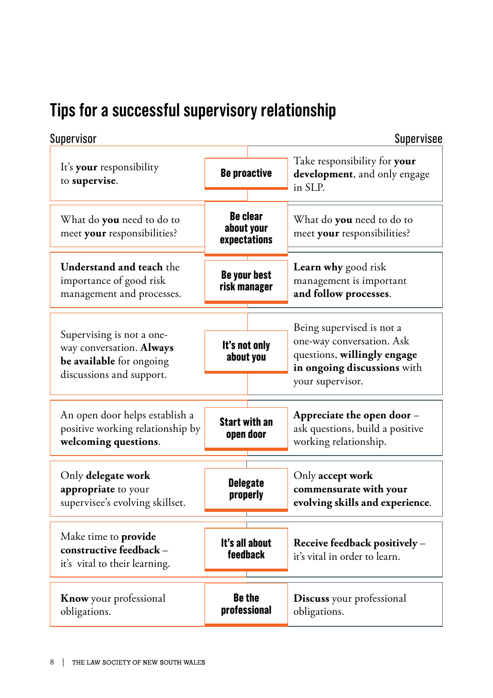## <span id="page-7-0"></span>**Tips for a successful supervisory relationship**

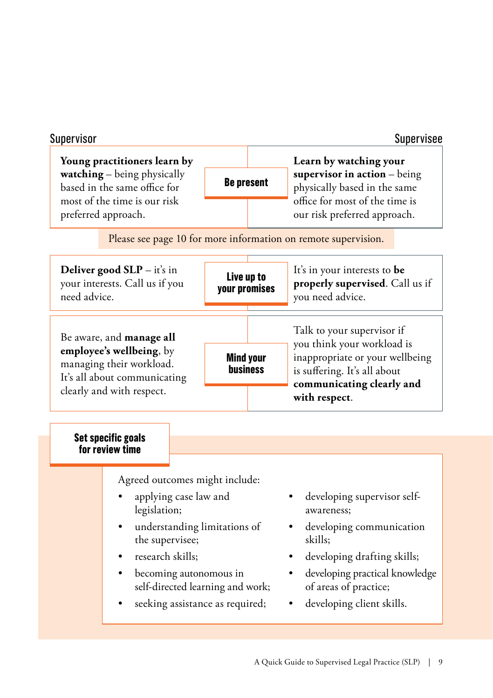| Supervisor                                                                                  |                                                                                                                                                                                                                                                 |  |                             | Supervisee                                                                                                                                                                                              |  |  |
|---------------------------------------------------------------------------------------------|-------------------------------------------------------------------------------------------------------------------------------------------------------------------------------------------------------------------------------------------------|--|-----------------------------|---------------------------------------------------------------------------------------------------------------------------------------------------------------------------------------------------------|--|--|
| Young practitioners learn by<br>watching - being physically<br>based in the same office for |                                                                                                                                                                                                                                                 |  | <b>Be present</b>           | Learn by watching your<br>supervisor in $action - being$<br>physically based in the same                                                                                                                |  |  |
|                                                                                             | most of the time is our risk<br>preferred approach.                                                                                                                                                                                             |  |                             | office for most of the time is<br>our risk preferred approach.                                                                                                                                          |  |  |
| Please see page 10 for more information on remote supervision.                              |                                                                                                                                                                                                                                                 |  |                             |                                                                                                                                                                                                         |  |  |
|                                                                                             | Deliver good $SLP - it's$ in<br>your interests. Call us if you<br>need advice.                                                                                                                                                                  |  | Live up to<br>your promises | It's in your interests to be<br>properly supervised. Call us if<br>you need advice.                                                                                                                     |  |  |
|                                                                                             | Be aware, and manage all<br>employee's wellbeing, by<br><b>Mind your</b><br>managing their workload.<br>It's all about communicating<br>clearly and with respect.                                                                               |  | business                    | Talk to your supervisor if<br>you think your workload is<br>inappropriate or your wellbeing<br>is suffering. It's all about<br>communicating clearly and<br>with respect.                               |  |  |
|                                                                                             | Set specific goals<br>for review time                                                                                                                                                                                                           |  |                             |                                                                                                                                                                                                         |  |  |
|                                                                                             | Agreed outcomes might include:<br>applying case law and<br>legislation;<br>understanding limitations of<br>the supervisee;<br>research skills;<br>becoming autonomous in<br>self-directed learning and work;<br>seeking assistance as required; |  |                             | developing supervisor self-<br>awareness:<br>developing communication<br>skills:<br>developing drafting skills;<br>developing practical knowledge<br>of areas of practice;<br>developing client skills. |  |  |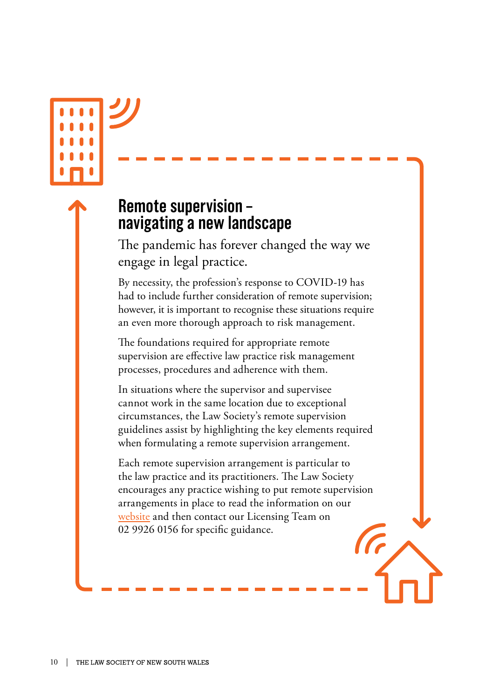## <span id="page-9-0"></span>**Remote supervision – navigating a new landscape**

The pandemic has forever changed the way we engage in legal practice.

By necessity, the profession's response to COVID-19 has had to include further consideration of remote supervision; however, it is important to recognise these situations require an even more thorough approach to risk management.

The foundations required for appropriate remote supervision are effective law practice risk management processes, procedures and adherence with them.

In situations where the supervisor and supervisee cannot work in the same location due to exceptional circumstances, the Law Society's remote supervision guidelines assist by highlighting the key elements required when formulating a remote supervision arrangement.

Each remote supervision arrangement is particular to the law practice and its practitioners. The Law Society encourages any practice wishing to put remote supervision arrangements in place to read the information on our [website](https://www.lawsociety.com.au/news-and-publications/news-media-releases/impact-covid-19-legal-profession/remote-supervision) and then contact our Licensing Team on 02 9926 0156 for specific guidance.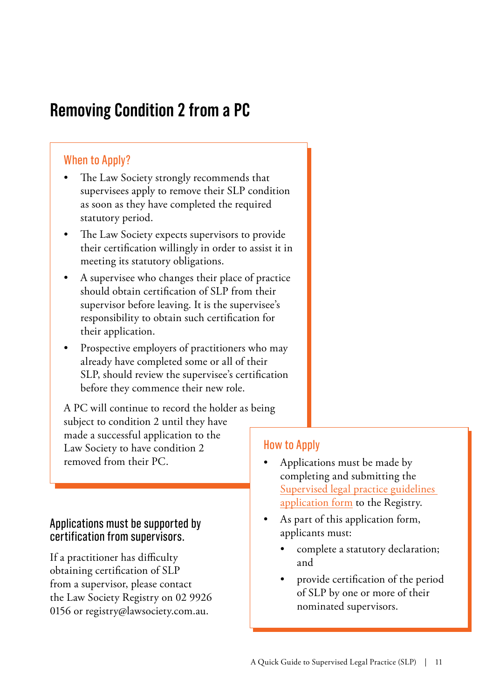## <span id="page-10-0"></span>**Removing Condition 2 from a PC**

### When to Apply?

- The Law Society strongly recommends that supervisees apply to remove their SLP condition as soon as they have completed the required statutory period.
- The Law Society expects supervisors to provide their certification willingly in order to assist it in meeting its statutory obligations.
- A supervisee who changes their place of practice should obtain certification of SLP from their supervisor before leaving. It is the supervisee's responsibility to obtain such certification for their application.
- Prospective employers of practitioners who may already have completed some or all of their SLP, should review the supervisee's certification before they commence their new role.

A PC will continue to record the holder as being subject to condition 2 until they have made a successful application to the Law Society to have condition 2 removed from their PC.

### Applications must be supported by certification from supervisors.

If a practitioner has difficulty obtaining certification of SLP from a supervisor, please contact the Law Society Registry on 02 9926 0156 or [registry@lawsociety.com.au](mailto:registry@lawsociety.com.au).

### How to Apply

- Applications must be made by completing and submitting the [Supervised legal practice guidelines](https://www.lawsociety.com.au/resources/publications/forms-directory)  [application form](https://www.lawsociety.com.au/resources/publications/forms-directory) to the Registry.
- As part of this application form, applicants must:
	- complete a statutory declaration; and
	- provide certification of the period of SLP by one or more of their nominated supervisors.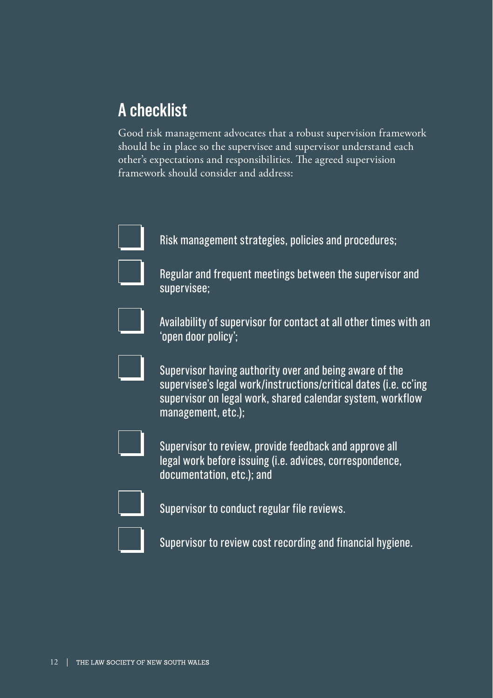## <span id="page-11-0"></span>**A checklist**

Good risk management advocates that a robust supervision framework should be in place so the supervisee and supervisor understand each other's expectations and responsibilities. The agreed supervision framework should consider and address:



Risk management strategies, policies and procedures;



Regular and frequent meetings between the supervisor and supervisee;



Availability of supervisor for contact at all other times with an 'open door policy';



Supervisor having authority over and being aware of the supervisee's legal work/instructions/critical dates (i.e. cc'ing supervisor on legal work, shared calendar system, workflow management, etc.);



Supervisor to review, provide feedback and approve all legal work before issuing (i.e. advices, correspondence, documentation, etc.); and



Supervisor to conduct regular file reviews.



Supervisor to review cost recording and financial hygiene.